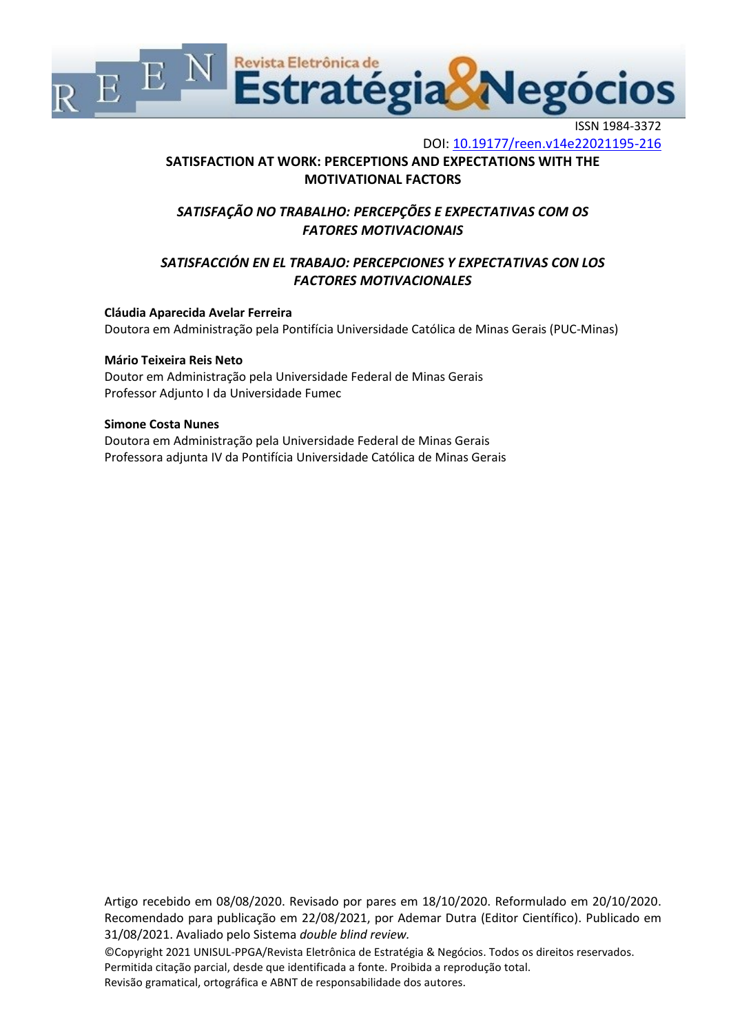

ISSN 1984-3372 DOI: <10.19177/reen.v14e22021195-216>

# **SATISFACTION AT WORK: PERCEPTIONS AND EXPECTATIONS WITH THE MOTIVATIONAL FACTORS**

## *SATISFAÇÃO NO TRABALHO: PERCEPÇÕES E EXPECTATIVAS COM OS FATORES MOTIVACIONAIS*

# *SATISFACCIÓN EN EL TRABAJO: PERCEPCIONES Y EXPECTATIVAS CON LOS FACTORES MOTIVACIONALES*

**Cláudia Aparecida Avelar Ferreira**

Doutora em Administração pela Pontifícia Universidade Católica de Minas Gerais (PUC-Minas)

### **Mário Teixeira Reis Neto**

Doutor em Administração pela Universidade Federal de Minas Gerais Professor Adjunto I da Universidade Fumec

#### **Simone Costa Nunes**

Doutora em Administração pela Universidade Federal de Minas Gerais Professora adjunta IV da Pontifícia Universidade Católica de Minas Gerais

Artigo recebido em 08/08/2020. Revisado por pares em 18/10/2020. Reformulado em 20/10/2020. Recomendado para publicação em 22/08/2021, por Ademar Dutra (Editor Científico). Publicado em 31/08/2021. Avaliado pelo Sistema *double blind review.*

©Copyright 2021 UNISUL-PPGA/Revista Eletrônica de Estratégia & Negócios. Todos os direitos reservados. Permitida citação parcial, desde que identificada a fonte. Proibida a reprodução total. Revisão gramatical, ortográfica e ABNT de responsabilidade dos autores.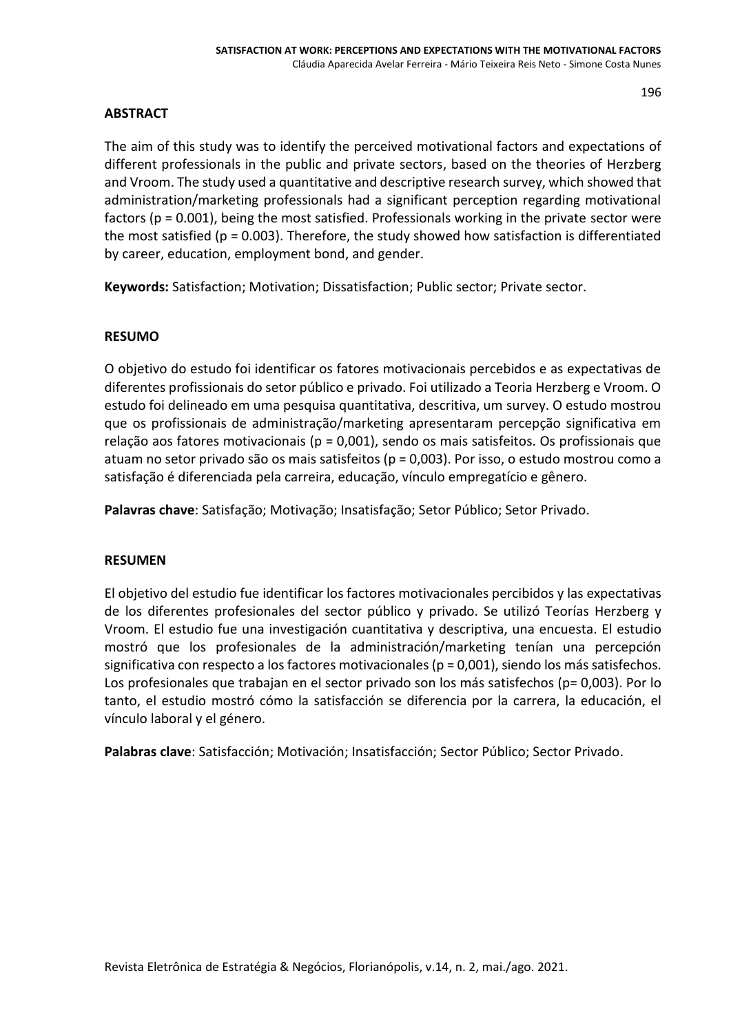### **ABSTRACT**

The aim of this study was to identify the perceived motivational factors and expectations of different professionals in the public and private sectors, based on the theories of Herzberg and Vroom. The study used a quantitative and descriptive research survey, which showed that administration/marketing professionals had a significant perception regarding motivational factors (p = 0.001), being the most satisfied. Professionals working in the private sector were the most satisfied ( $p = 0.003$ ). Therefore, the study showed how satisfaction is differentiated by career, education, employment bond, and gender.

**Keywords:** Satisfaction; Motivation; Dissatisfaction; Public sector; Private sector.

#### **RESUMO**

O objetivo do estudo foi identificar os fatores motivacionais percebidos e as expectativas de diferentes profissionais do setor público e privado. Foi utilizado a Teoria Herzberg e Vroom. O estudo foi delineado em uma pesquisa quantitativa, descritiva, um survey. O estudo mostrou que os profissionais de administração/marketing apresentaram percepção significativa em relação aos fatores motivacionais (p = 0,001), sendo os mais satisfeitos. Os profissionais que atuam no setor privado são os mais satisfeitos (p = 0,003). Por isso, o estudo mostrou como a satisfação é diferenciada pela carreira, educação, vínculo empregatício e gênero.

**Palavras chave**: Satisfação; Motivação; Insatisfação; Setor Público; Setor Privado.

#### **RESUMEN**

El objetivo del estudio fue identificar los factores motivacionales percibidos y las expectativas de los diferentes profesionales del sector público y privado. Se utilizó Teorías Herzberg y Vroom. El estudio fue una investigación cuantitativa y descriptiva, una encuesta. El estudio mostró que los profesionales de la administración/marketing tenían una percepción significativa con respecto a los factores motivacionales (p = 0,001), siendo los más satisfechos. Los profesionales que trabajan en el sector privado son los más satisfechos (p= 0,003). Por lo tanto, el estudio mostró cómo la satisfacción se diferencia por la carrera, la educación, el vínculo laboral y el género.

**Palabras clave**: Satisfacción; Motivación; Insatisfacción; Sector Público; Sector Privado.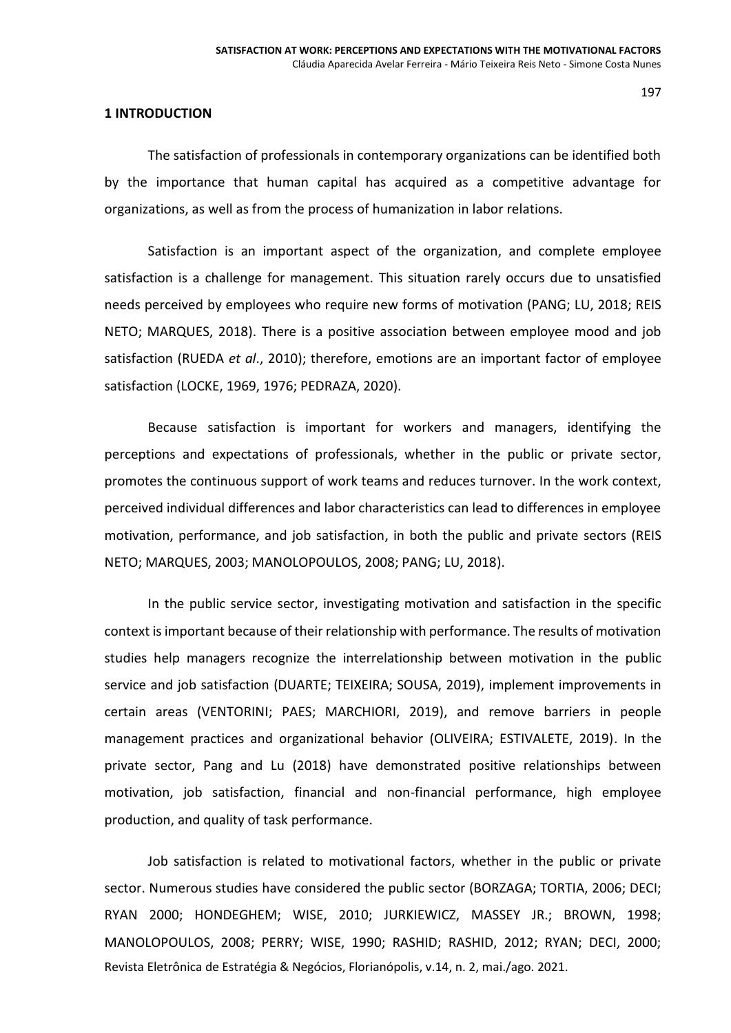#### **1 INTRODUCTION**

The satisfaction of professionals in contemporary organizations can be identified both by the importance that human capital has acquired as a competitive advantage for organizations, as well as from the process of humanization in labor relations.

Satisfaction is an important aspect of the organization, and complete employee satisfaction is a challenge for management. This situation rarely occurs due to unsatisfied needs perceived by employees who require new forms of motivation (PANG; LU, 2018; REIS NETO; MARQUES, 2018). There is a positive association between employee mood and job satisfaction (RUEDA *et al*., 2010); therefore, emotions are an important factor of employee satisfaction (LOCKE, 1969, 1976; PEDRAZA, 2020).

Because satisfaction is important for workers and managers, identifying the perceptions and expectations of professionals, whether in the public or private sector, promotes the continuous support of work teams and reduces turnover. In the work context, perceived individual differences and labor characteristics can lead to differences in employee motivation, performance, and job satisfaction, in both the public and private sectors (REIS NETO; MARQUES, 2003; MANOLOPOULOS, 2008; PANG; LU, 2018).

In the public service sector, investigating motivation and satisfaction in the specific context is important because of their relationship with performance. The results of motivation studies help managers recognize the interrelationship between motivation in the public service and job satisfaction (DUARTE; TEIXEIRA; SOUSA, 2019), implement improvements in certain areas (VENTORINI; PAES; MARCHIORI, 2019), and remove barriers in people management practices and organizational behavior (OLIVEIRA; ESTIVALETE, 2019). In the private sector, Pang and Lu (2018) have demonstrated positive relationships between motivation, job satisfaction, financial and non-financial performance, high employee production, and quality of task performance.

Revista Eletrônica de Estratégia & Negócios, Florianópolis, v.14, n. 2, mai./ago. 2021. Job satisfaction is related to motivational factors, whether in the public or private sector. Numerous studies have considered the public sector (BORZAGA; TORTIA, 2006; DECI; RYAN 2000; HONDEGHEM; WISE, 2010; JURKIEWICZ, MASSEY JR.; BROWN, 1998; MANOLOPOULOS, 2008; PERRY; WISE, 1990; RASHID; RASHID, 2012; RYAN; DECI, 2000;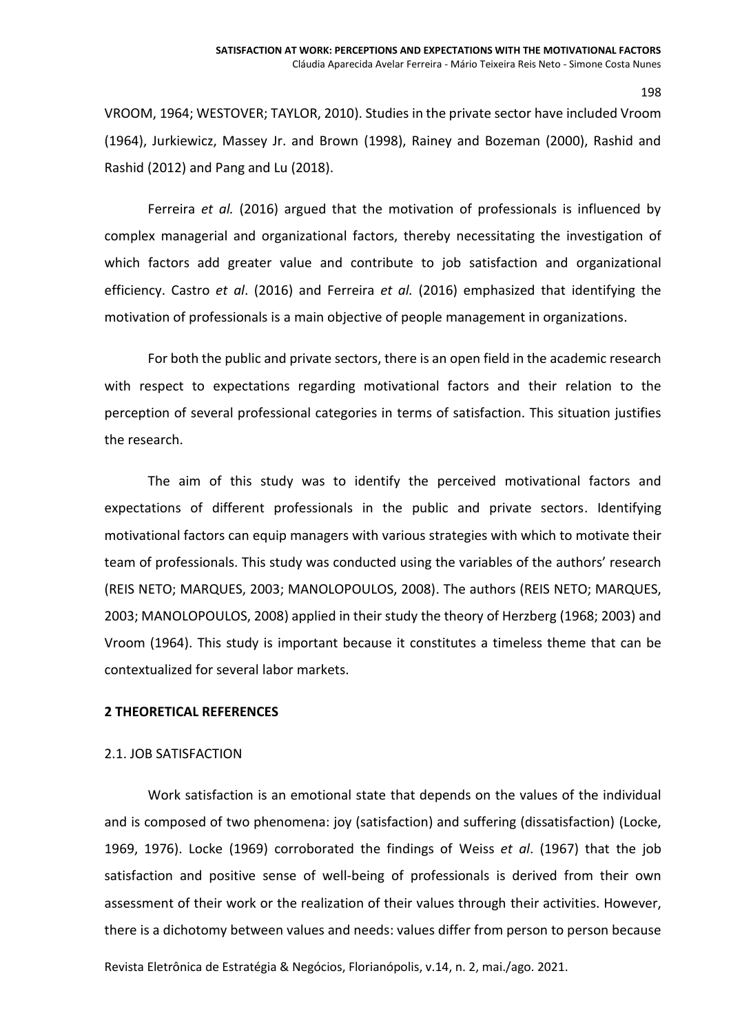VROOM, 1964; WESTOVER; TAYLOR, 2010). Studies in the private sector have included Vroom (1964), Jurkiewicz, Massey Jr. and Brown (1998), Rainey and Bozeman (2000), Rashid and Rashid (2012) and Pang and Lu (2018).

Ferreira *et al.* (2016) argued that the motivation of professionals is influenced by complex managerial and organizational factors, thereby necessitating the investigation of which factors add greater value and contribute to job satisfaction and organizational efficiency. Castro *et al*. (2016) and Ferreira *et al.* (2016) emphasized that identifying the motivation of professionals is a main objective of people management in organizations.

For both the public and private sectors, there is an open field in the academic research with respect to expectations regarding motivational factors and their relation to the perception of several professional categories in terms of satisfaction. This situation justifies the research.

The aim of this study was to identify the perceived motivational factors and expectations of different professionals in the public and private sectors. Identifying motivational factors can equip managers with various strategies with which to motivate their team of professionals. This study was conducted using the variables of the authors' research (REIS NETO; MARQUES, 2003; MANOLOPOULOS, 2008). The authors (REIS NETO; MARQUES, 2003; MANOLOPOULOS, 2008) applied in their study the theory of Herzberg (1968; 2003) and Vroom (1964). This study is important because it constitutes a timeless theme that can be contextualized for several labor markets.

#### **2 THEORETICAL REFERENCES**

#### 2.1. JOB SATISFACTION

Work satisfaction is an emotional state that depends on the values of the individual and is composed of two phenomena: joy (satisfaction) and suffering (dissatisfaction) (Locke, 1969, 1976). Locke (1969) corroborated the findings of Weiss *et al*. (1967) that the job satisfaction and positive sense of well-being of professionals is derived from their own assessment of their work or the realization of their values through their activities. However, there is a dichotomy between values and needs: values differ from person to person because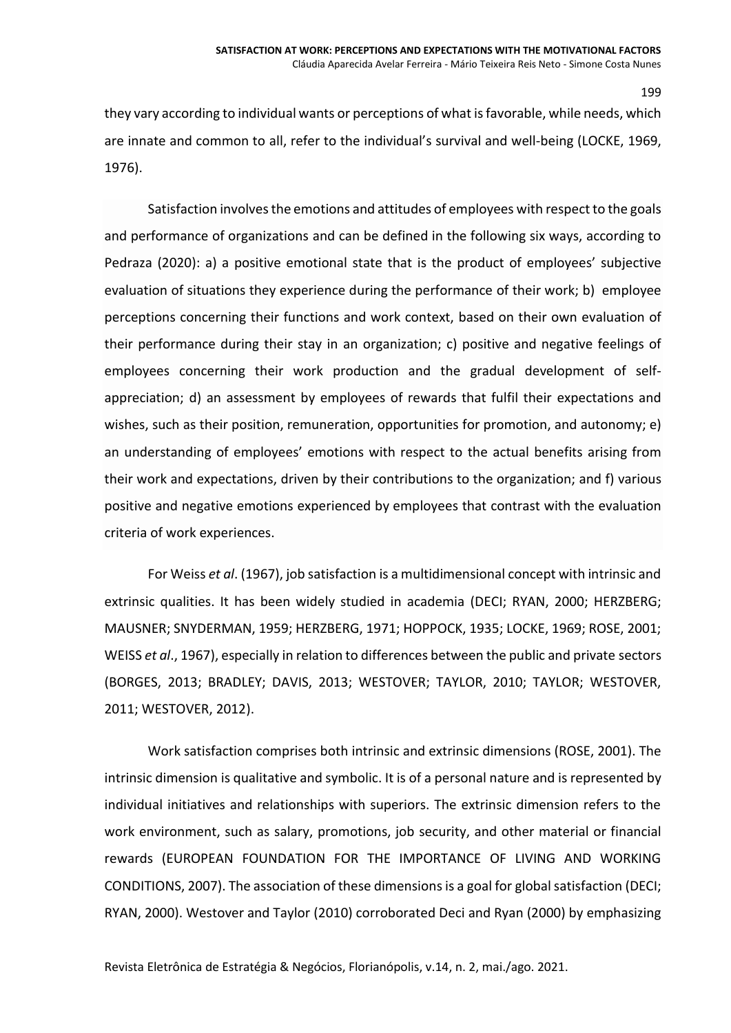they vary according to individual wants or perceptions of what is favorable, while needs, which are innate and common to all, refer to the individual's survival and well-being (LOCKE, 1969, 1976).

Satisfaction involves the emotions and attitudes of employees with respect to the goals and performance of organizations and can be defined in the following six ways, according to Pedraza (2020): a) a positive emotional state that is the product of employees' subjective evaluation of situations they experience during the performance of their work; b) employee perceptions concerning their functions and work context, based on their own evaluation of their performance during their stay in an organization; c) positive and negative feelings of employees concerning their work production and the gradual development of selfappreciation; d) an assessment by employees of rewards that fulfil their expectations and wishes, such as their position, remuneration, opportunities for promotion, and autonomy; e) an understanding of employees' emotions with respect to the actual benefits arising from their work and expectations, driven by their contributions to the organization; and f) various positive and negative emotions experienced by employees that contrast with the evaluation criteria of work experiences.

For Weiss *et al*. (1967), job satisfaction is a multidimensional concept with intrinsic and extrinsic qualities. It has been widely studied in academia (DECI; RYAN, 2000; HERZBERG; MAUSNER; SNYDERMAN, 1959; HERZBERG, 1971; HOPPOCK, 1935; LOCKE, 1969; ROSE, 2001; WEISS *et al*., 1967), especially in relation to differences between the public and private sectors (BORGES, 2013; BRADLEY; DAVIS, 2013; WESTOVER; TAYLOR, 2010; TAYLOR; WESTOVER, 2011; WESTOVER, 2012).

Work satisfaction comprises both intrinsic and extrinsic dimensions (ROSE, 2001). The intrinsic dimension is qualitative and symbolic. It is of a personal nature and is represented by individual initiatives and relationships with superiors. The extrinsic dimension refers to the work environment, such as salary, promotions, job security, and other material or financial rewards (EUROPEAN FOUNDATION FOR THE IMPORTANCE OF LIVING AND WORKING CONDITIONS, 2007). The association of these dimensions is a goal for global satisfaction (DECI; RYAN, 2000). Westover and Taylor (2010) corroborated Deci and Ryan (2000) by emphasizing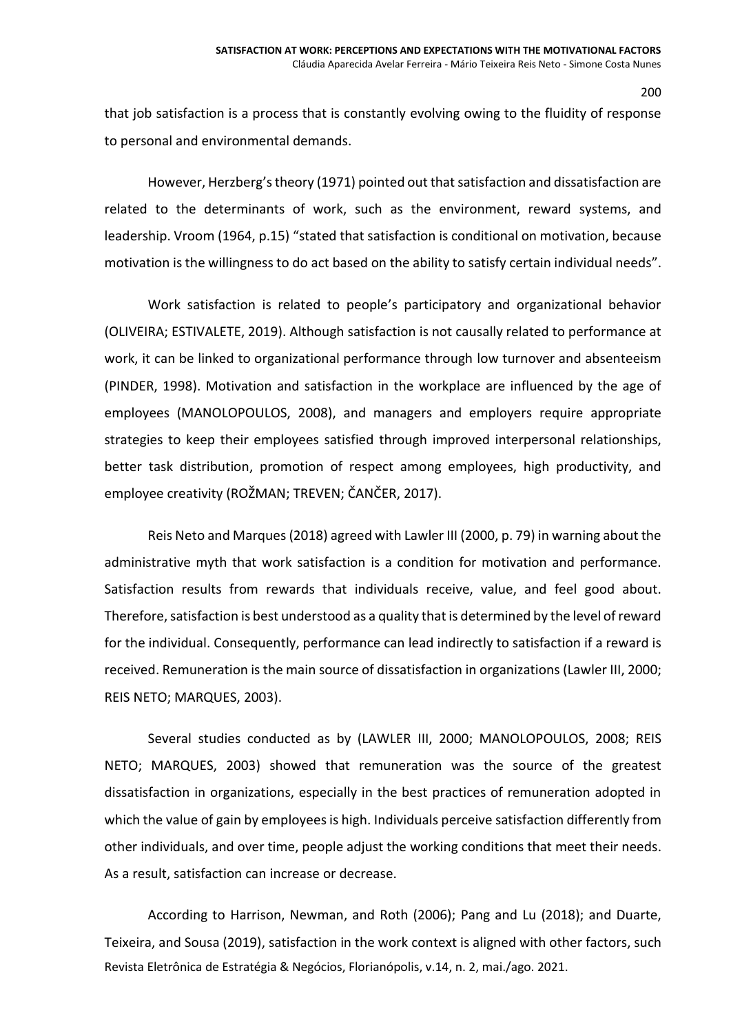that job satisfaction is a process that is constantly evolving owing to the fluidity of response to personal and environmental demands.

However, Herzberg's theory (1971) pointed out that satisfaction and dissatisfaction are related to the determinants of work, such as the environment, reward systems, and leadership. Vroom (1964, p.15) "stated that satisfaction is conditional on motivation, because motivation is the willingness to do act based on the ability to satisfy certain individual needs".

Work satisfaction is related to people's participatory and organizational behavior (OLIVEIRA; ESTIVALETE, 2019). Although satisfaction is not causally related to performance at work, it can be linked to organizational performance through low turnover and absenteeism (PINDER, 1998). Motivation and satisfaction in the workplace are influenced by the age of employees (MANOLOPOULOS, 2008), and managers and employers require appropriate strategies to keep their employees satisfied through improved interpersonal relationships, better task distribution, promotion of respect among employees, high productivity, and employee creativity (ROŽMAN; TREVEN; ČANČER, 2017).

Reis Neto and Marques (2018) agreed with Lawler III (2000, p. 79) in warning about the administrative myth that work satisfaction is a condition for motivation and performance. Satisfaction results from rewards that individuals receive, value, and feel good about. Therefore, satisfaction is best understood as a quality that is determined by the level of reward for the individual. Consequently, performance can lead indirectly to satisfaction if a reward is received. Remuneration is the main source of dissatisfaction in organizations (Lawler III, 2000; REIS NETO; MARQUES, 2003).

Several studies conducted as by (LAWLER III, 2000; MANOLOPOULOS, 2008; REIS NETO; MARQUES, 2003) showed that remuneration was the source of the greatest dissatisfaction in organizations, especially in the best practices of remuneration adopted in which the value of gain by employees is high. Individuals perceive satisfaction differently from other individuals, and over time, people adjust the working conditions that meet their needs. As a result, satisfaction can increase or decrease.

Revista Eletrônica de Estratégia & Negócios, Florianópolis, v.14, n. 2, mai./ago. 2021. According to Harrison, Newman, and Roth (2006); Pang and Lu (2018); and Duarte, Teixeira, and Sousa (2019), satisfaction in the work context is aligned with other factors, such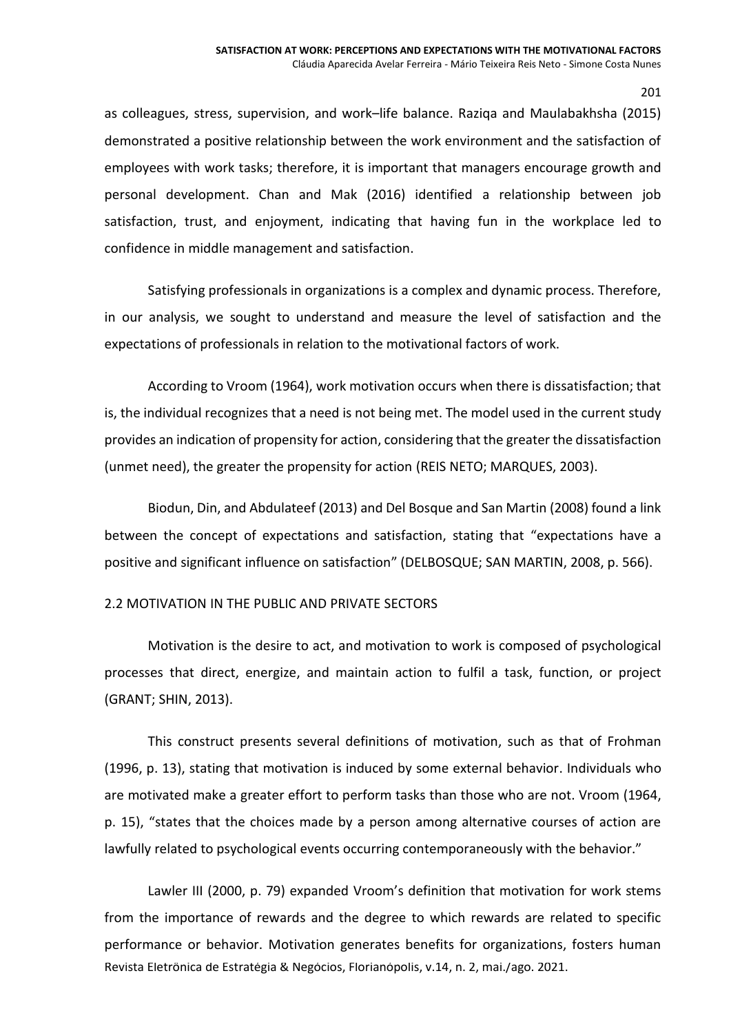as colleagues, stress, supervision, and work–life balance. Raziqa and Maulabakhsha (2015) demonstrated a positive relationship between the work environment and the satisfaction of employees with work tasks; therefore, it is important that managers encourage growth and personal development. Chan and Mak (2016) identified a relationship between job satisfaction, trust, and enjoyment, indicating that having fun in the workplace led to confidence in middle management and satisfaction.

Satisfying professionals in organizations is a complex and dynamic process. Therefore, in our analysis, we sought to understand and measure the level of satisfaction and the expectations of professionals in relation to the motivational factors of work.

According to Vroom (1964), work motivation occurs when there is dissatisfaction; that is, the individual recognizes that a need is not being met. The model used in the current study provides an indication of propensity for action, considering that the greater the dissatisfaction (unmet need), the greater the propensity for action (REIS NETO; MARQUES, 2003).

Biodun, Din, and Abdulateef (2013) and Del Bosque and San Martin (2008) found a link between the concept of expectations and satisfaction, stating that "expectations have a positive and significant influence on satisfaction" (DELBOSQUE; SAN MARTIN, 2008, p. 566).

#### 2.2 MOTIVATION IN THE PUBLIC AND PRIVATE SECTORS

Motivation is the desire to act, and motivation to work is composed of psychological processes that direct, energize, and maintain action to fulfil a task, function, or project (GRANT; SHIN, 2013).

This construct presents several definitions of motivation, such as that of Frohman (1996, p. 13), stating that motivation is induced by some external behavior. Individuals who are motivated make a greater effort to perform tasks than those who are not. Vroom (1964, p. 15), "states that the choices made by a person among alternative courses of action are lawfully related to psychological events occurring contemporaneously with the behavior."

Revista Eletrônica de Estratégia & Negócios, Florianópolis, v.14, n. 2, mai./ago. 2021. Lawler III (2000, p. 79) expanded Vroom's definition that motivation for work stems from the importance of rewards and the degree to which rewards are related to specific performance or behavior. Motivation generates benefits for organizations, fosters human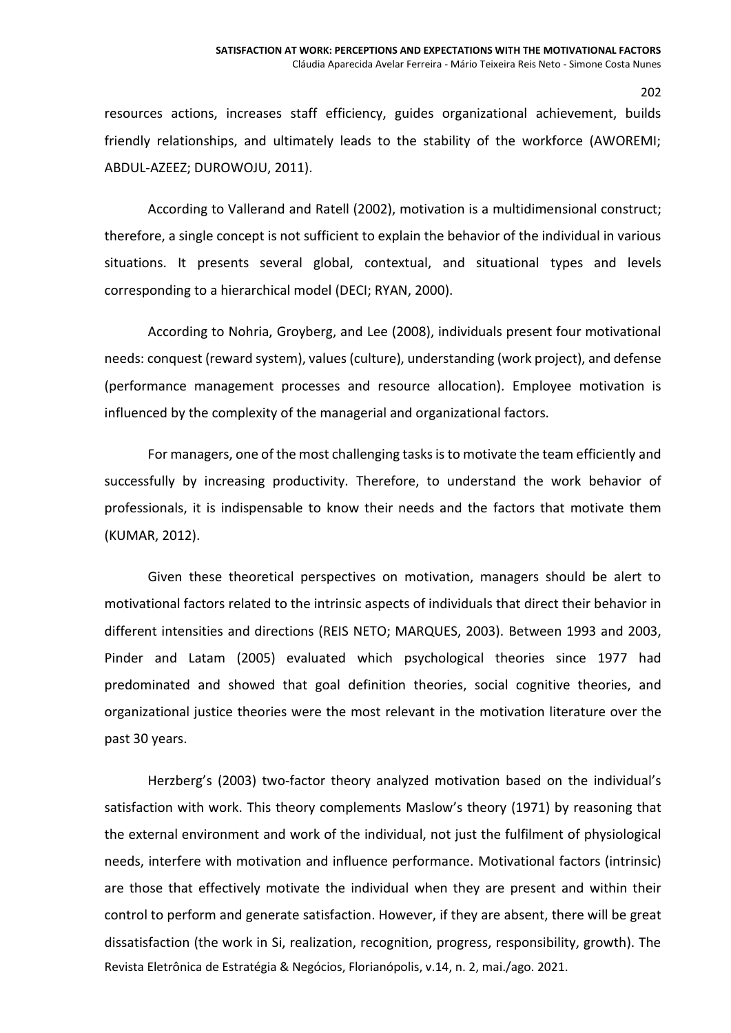resources actions, increases staff efficiency, guides organizational achievement, builds friendly relationships, and ultimately leads to the stability of the workforce (AWOREMI; ABDUL-AZEEZ; DUROWOJU, 2011).

According to Vallerand and Ratell (2002), motivation is a multidimensional construct; therefore, a single concept is not sufficient to explain the behavior of the individual in various situations. It presents several global, contextual, and situational types and levels corresponding to a hierarchical model (DECI; RYAN, 2000).

According to Nohria, Groyberg, and Lee (2008), individuals present four motivational needs: conquest (reward system), values (culture), understanding (work project), and defense (performance management processes and resource allocation). Employee motivation is influenced by the complexity of the managerial and organizational factors.

For managers, one of the most challenging tasks is to motivate the team efficiently and successfully by increasing productivity. Therefore, to understand the work behavior of professionals, it is indispensable to know their needs and the factors that motivate them (KUMAR, 2012).

Given these theoretical perspectives on motivation, managers should be alert to motivational factors related to the intrinsic aspects of individuals that direct their behavior in different intensities and directions (REIS NETO; MARQUES, 2003). Between 1993 and 2003, Pinder and Latam (2005) evaluated which psychological theories since 1977 had predominated and showed that goal definition theories, social cognitive theories, and organizational justice theories were the most relevant in the motivation literature over the past 30 years.

Revista Eletrônica de Estratégia & Negócios, Florianópolis, v.14, n. 2, mai./ago. 2021. Herzberg's (2003) two-factor theory analyzed motivation based on the individual's satisfaction with work. This theory complements Maslow's theory (1971) by reasoning that the external environment and work of the individual, not just the fulfilment of physiological needs, interfere with motivation and influence performance. Motivational factors (intrinsic) are those that effectively motivate the individual when they are present and within their control to perform and generate satisfaction. However, if they are absent, there will be great dissatisfaction (the work in Si, realization, recognition, progress, responsibility, growth). The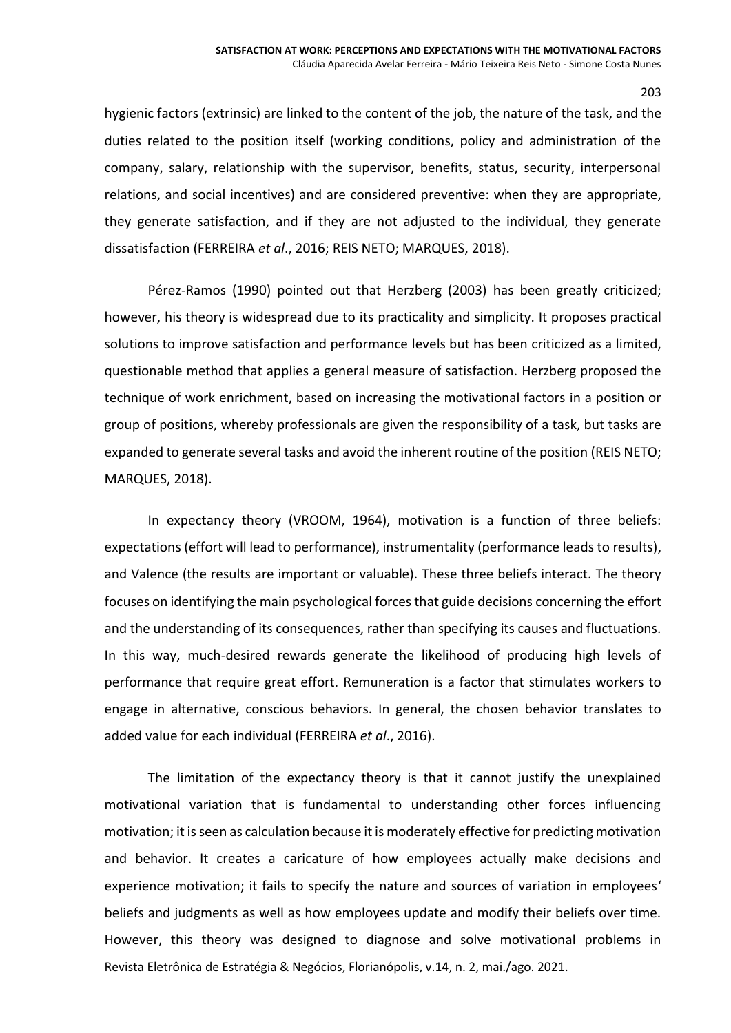hygienic factors (extrinsic) are linked to the content of the job, the nature of the task, and the duties related to the position itself (working conditions, policy and administration of the company, salary, relationship with the supervisor, benefits, status, security, interpersonal relations, and social incentives) and are considered preventive: when they are appropriate, they generate satisfaction, and if they are not adjusted to the individual, they generate dissatisfaction (FERREIRA *et al*., 2016; REIS NETO; MARQUES, 2018).

Pérez-Ramos (1990) pointed out that Herzberg (2003) has been greatly criticized; however, his theory is widespread due to its practicality and simplicity. It proposes practical solutions to improve satisfaction and performance levels but has been criticized as a limited, questionable method that applies a general measure of satisfaction. Herzberg proposed the technique of work enrichment, based on increasing the motivational factors in a position or group of positions, whereby professionals are given the responsibility of a task, but tasks are expanded to generate several tasks and avoid the inherent routine of the position (REIS NETO; MARQUES, 2018).

In expectancy theory (VROOM, 1964), motivation is a function of three beliefs: expectations (effort will lead to performance), instrumentality (performance leads to results), and Valence (the results are important or valuable). These three beliefs interact. The theory focuses on identifying the main psychological forces that guide decisions concerning the effort and the understanding of its consequences, rather than specifying its causes and fluctuations. In this way, much-desired rewards generate the likelihood of producing high levels of performance that require great effort. Remuneration is a factor that stimulates workers to engage in alternative, conscious behaviors. In general, the chosen behavior translates to added value for each individual (FERREIRA *et al*., 2016).

Revista Eletrônica de Estratégia & Negócios, Florianópolis, v.14, n. 2, mai./ago. 2021. The limitation of the expectancy theory is that it cannot justify the unexplained motivational variation that is fundamental to understanding other forces influencing motivation; it is seen as calculation because it is moderately effective for predicting motivation and behavior. It creates a caricature of how employees actually make decisions and experience motivation; it fails to specify the nature and sources of variation in employees' beliefs and judgments as well as how employees update and modify their beliefs over time. However, this theory was designed to diagnose and solve motivational problems in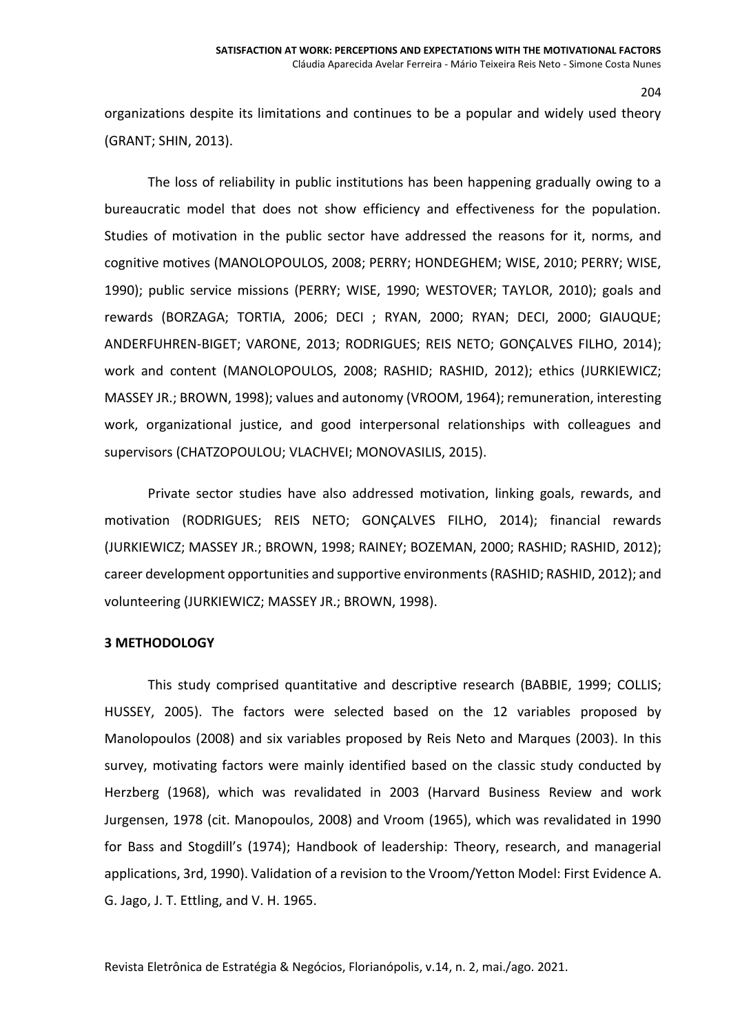organizations despite its limitations and continues to be a popular and widely used theory (GRANT; SHIN, 2013).

The loss of reliability in public institutions has been happening gradually owing to a bureaucratic model that does not show efficiency and effectiveness for the population. Studies of motivation in the public sector have addressed the reasons for it, norms, and cognitive motives (MANOLOPOULOS, 2008; PERRY; HONDEGHEM; WISE, 2010; PERRY; WISE, 1990); public service missions (PERRY; WISE, 1990; WESTOVER; TAYLOR, 2010); goals and rewards (BORZAGA; TORTIA, 2006; DECI ; RYAN, 2000; RYAN; DECI, 2000; GIAUQUE; ANDERFUHREN-BIGET; VARONE, 2013; RODRIGUES; REIS NETO; GONÇALVES FILHO, 2014); work and content (MANOLOPOULOS, 2008; RASHID; RASHID, 2012); ethics (JURKIEWICZ; MASSEY JR.; BROWN, 1998); values and autonomy (VROOM, 1964); remuneration, interesting work, organizational justice, and good interpersonal relationships with colleagues and supervisors (CHATZOPOULOU; VLACHVEI; MONOVASILIS, 2015).

Private sector studies have also addressed motivation, linking goals, rewards, and motivation (RODRIGUES; REIS NETO; GONÇALVES FILHO, 2014); financial rewards (JURKIEWICZ; MASSEY JR.; BROWN, 1998; RAINEY; BOZEMAN, 2000; RASHID; RASHID, 2012); career development opportunities and supportive environments(RASHID; RASHID, 2012); and volunteering (JURKIEWICZ; MASSEY JR.; BROWN, 1998).

#### **3 METHODOLOGY**

This study comprised quantitative and descriptive research (BABBIE, 1999; COLLIS; HUSSEY, 2005). The factors were selected based on the 12 variables proposed by Manolopoulos (2008) and six variables proposed by Reis Neto and Marques (2003). In this survey, motivating factors were mainly identified based on the classic study conducted by Herzberg (1968), which was revalidated in 2003 (Harvard Business Review and work Jurgensen, 1978 (cit. Manopoulos, 2008) and Vroom (1965), which was revalidated in 1990 for Bass and Stogdill's (1974); Handbook of leadership: Theory, research, and managerial applications, 3rd, 1990). Validation of a revision to the Vroom/Yetton Model: First Evidence A. G. Jago, J. T. Ettling, and V. H. 1965.

Revista Eletrônica de Estratégia & Negócios, Florianópolis, v.14, n. 2, mai./ago. 2021.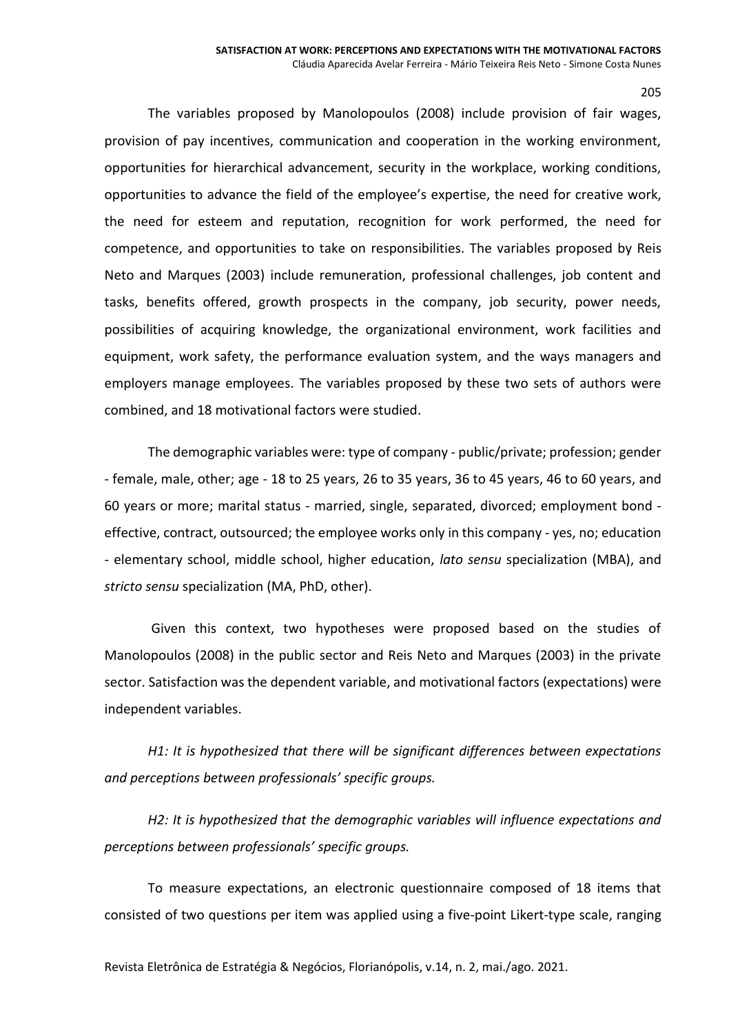The variables proposed by Manolopoulos (2008) include provision of fair wages, provision of pay incentives, communication and cooperation in the working environment, opportunities for hierarchical advancement, security in the workplace, working conditions, opportunities to advance the field of the employee's expertise, the need for creative work, the need for esteem and reputation, recognition for work performed, the need for competence, and opportunities to take on responsibilities. The variables proposed by Reis Neto and Marques (2003) include remuneration, professional challenges, job content and tasks, benefits offered, growth prospects in the company, job security, power needs, possibilities of acquiring knowledge, the organizational environment, work facilities and equipment, work safety, the performance evaluation system, and the ways managers and employers manage employees. The variables proposed by these two sets of authors were combined, and 18 motivational factors were studied.

The demographic variables were: type of company - public/private; profession; gender - female, male, other; age - 18 to 25 years, 26 to 35 years, 36 to 45 years, 46 to 60 years, and 60 years or more; marital status - married, single, separated, divorced; employment bond effective, contract, outsourced; the employee works only in this company - yes, no; education - elementary school, middle school, higher education, *lato sensu* specialization (MBA), and *stricto sensu* specialization (MA, PhD, other).

Given this context, two hypotheses were proposed based on the studies of Manolopoulos (2008) in the public sector and Reis Neto and Marques (2003) in the private sector. Satisfaction was the dependent variable, and motivational factors (expectations) were independent variables.

*H1: It is hypothesized that there will be significant differences between expectations and perceptions between professionals' specific groups.*

*H2: It is hypothesized that the demographic variables will influence expectations and perceptions between professionals' specific groups.*

To measure expectations, an electronic questionnaire composed of 18 items that consisted of two questions per item was applied using a five-point Likert-type scale, ranging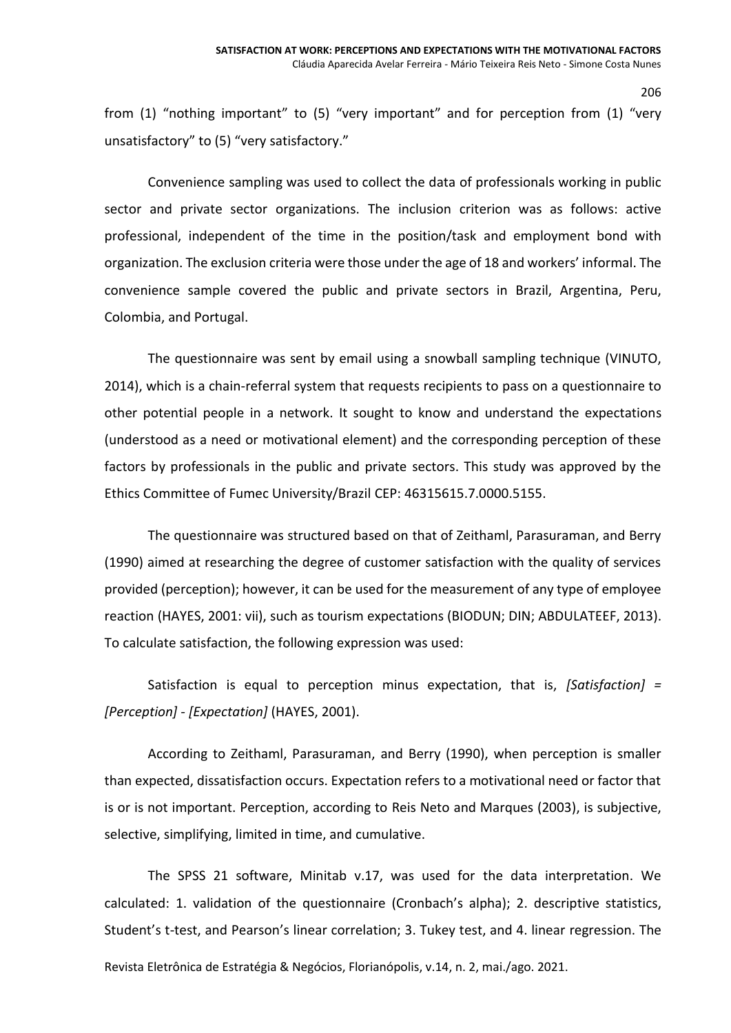from (1) "nothing important" to (5) "very important" and for perception from (1) "very unsatisfactory" to (5) "very satisfactory."

Convenience sampling was used to collect the data of professionals working in public sector and private sector organizations. The inclusion criterion was as follows: active professional, independent of the time in the position/task and employment bond with organization. The exclusion criteria were those under the age of 18 and workers' informal. The convenience sample covered the public and private sectors in Brazil, Argentina, Peru, Colombia, and Portugal.

The questionnaire was sent by email using a snowball sampling technique (VINUTO, 2014), which is a chain-referral system that requests recipients to pass on a questionnaire to other potential people in a network. It sought to know and understand the expectations (understood as a need or motivational element) and the corresponding perception of these factors by professionals in the public and private sectors. This study was approved by the Ethics Committee of Fumec University/Brazil CEP: 46315615.7.0000.5155.

The questionnaire was structured based on that of Zeithaml, Parasuraman, and Berry (1990) aimed at researching the degree of customer satisfaction with the quality of services provided (perception); however, it can be used for the measurement of any type of employee reaction (HAYES, 2001: vii), such as tourism expectations (BIODUN; DIN; ABDULATEEF, 2013). To calculate satisfaction, the following expression was used:

Satisfaction is equal to perception minus expectation, that is, *[Satisfaction] = [Perception] - [Expectation]* (HAYES, 2001).

According to Zeithaml, Parasuraman, and Berry (1990), when perception is smaller than expected, dissatisfaction occurs. Expectation refers to a motivational need or factor that is or is not important. Perception, according to Reis Neto and Marques (2003), is subjective, selective, simplifying, limited in time, and cumulative.

The SPSS 21 software, Minitab v.17, was used for the data interpretation. We calculated: 1. validation of the questionnaire (Cronbach's alpha); 2. descriptive statistics, Student's t-test, and Pearson's linear correlation; 3. Tukey test, and 4. linear regression. The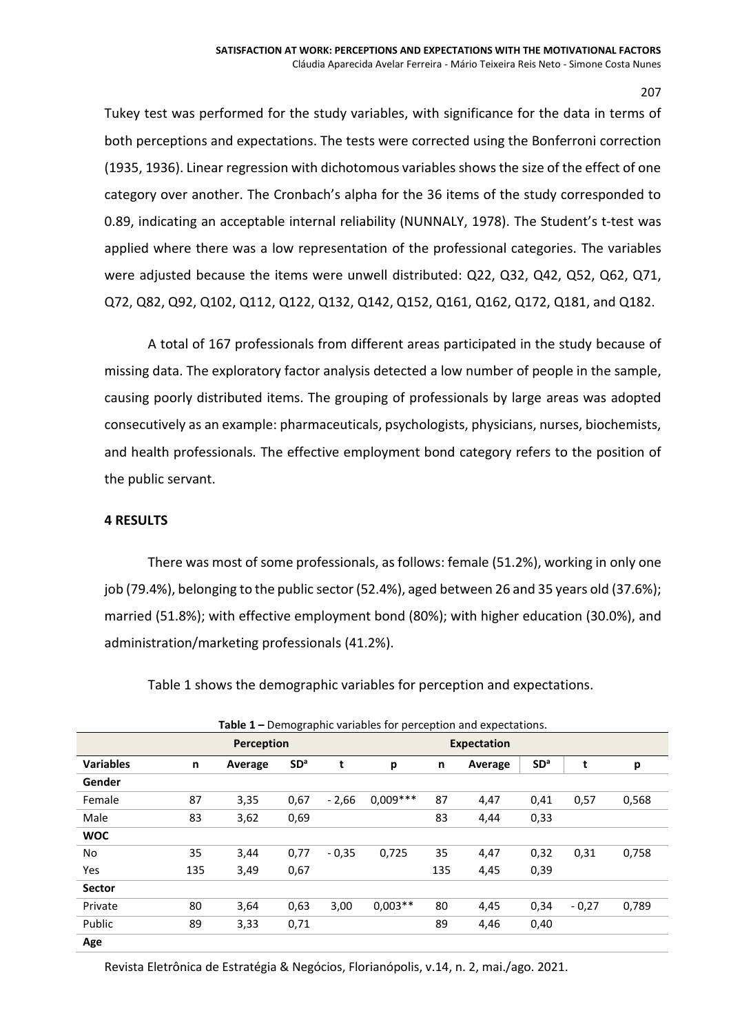Tukey test was performed for the study variables, with significance for the data in terms of both perceptions and expectations. The tests were corrected using the Bonferroni correction (1935, 1936). Linear regression with dichotomous variables shows the size of the effect of one category over another. The Cronbach's alpha for the 36 items of the study corresponded to 0.89, indicating an acceptable internal reliability (NUNNALY, 1978). The Student's t-test was applied where there was a low representation of the professional categories. The variables were adjusted because the items were unwell distributed: Q22, Q32, Q42, Q52, Q62, Q71, Q72, Q82, Q92, Q102, Q112, Q122, Q132, Q142, Q152, Q161, Q162, Q172, Q181, and Q182.

A total of 167 professionals from different areas participated in the study because of missing data. The exploratory factor analysis detected a low number of people in the sample, causing poorly distributed items. The grouping of professionals by large areas was adopted consecutively as an example: pharmaceuticals, psychologists, physicians, nurses, biochemists, and health professionals. The effective employment bond category refers to the position of the public servant.

## **4 RESULTS**

There was most of some professionals, as follows: female (51.2%), working in only one job (79.4%), belonging to the public sector (52.4%), aged between 26 and 35 years old (37.6%); married (51.8%); with effective employment bond (80%); with higher education (30.0%), and administration/marketing professionals (41.2%).

Table 1 shows the demographic variables for perception and expectations.

|                  | <b>Perception</b> |         |                 |         |            |                    |         |                 |         |       |
|------------------|-------------------|---------|-----------------|---------|------------|--------------------|---------|-----------------|---------|-------|
|                  |                   |         |                 |         |            | <b>Expectation</b> |         |                 |         |       |
| <b>Variables</b> | n                 | Average | SD <sup>a</sup> | t       | p          | n                  | Average | SD <sup>a</sup> | t       | р     |
| Gender           |                   |         |                 |         |            |                    |         |                 |         |       |
| Female           | 87                | 3,35    | 0,67            | $-2,66$ | $0.009***$ | 87                 | 4,47    | 0,41            | 0,57    | 0,568 |
| Male             | 83                | 3,62    | 0,69            |         |            | 83                 | 4,44    | 0,33            |         |       |
| <b>WOC</b>       |                   |         |                 |         |            |                    |         |                 |         |       |
| No.              | 35                | 3,44    | 0,77            | $-0.35$ | 0,725      | 35                 | 4,47    | 0,32            | 0,31    | 0,758 |
| Yes              | 135               | 3,49    | 0,67            |         |            | 135                | 4,45    | 0,39            |         |       |
| <b>Sector</b>    |                   |         |                 |         |            |                    |         |                 |         |       |
| Private          | 80                | 3,64    | 0,63            | 3,00    | $0,003**$  | 80                 | 4,45    | 0,34            | $-0,27$ | 0,789 |
| Public           | 89                | 3,33    | 0,71            |         |            | 89                 | 4,46    | 0,40            |         |       |
| Age              |                   |         |                 |         |            |                    |         |                 |         |       |

**Table 1 –** Demographic variables for perception and expectations.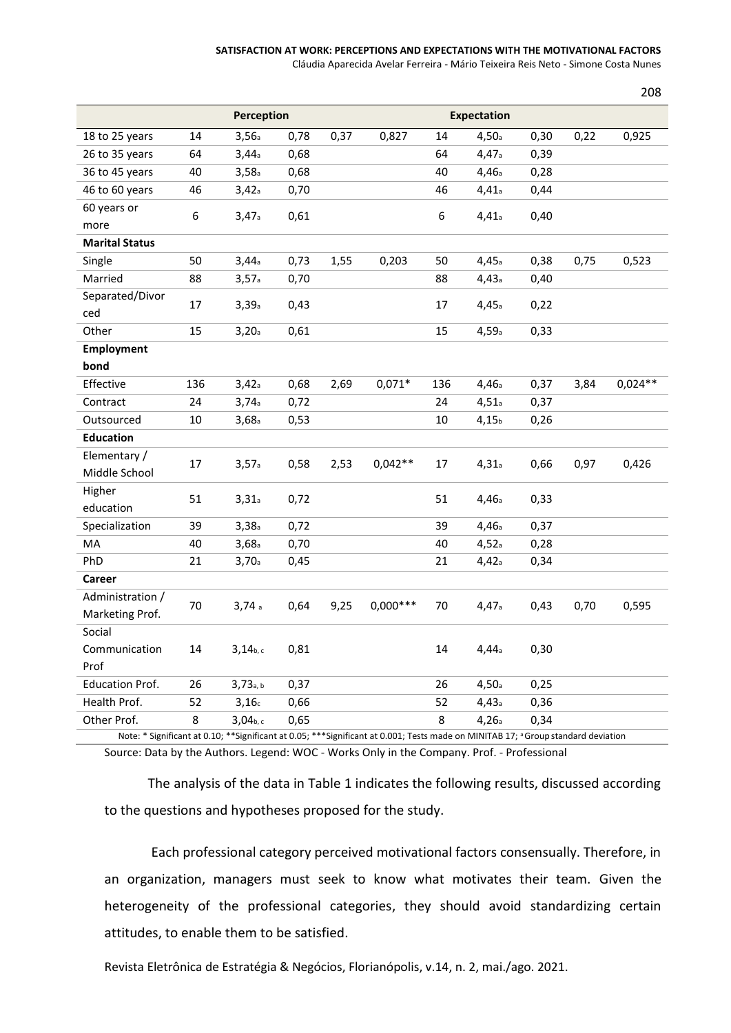#### **SATISFACTION AT WORK: PERCEPTIONS AND EXPECTATIONS WITH THE MOTIVATIONAL FACTORS** Cláudia Aparecida Avelar Ferreira - Mário Teixeira Reis Neto - Simone Costa Nunes

|                        |            |                        |      |      |                                                                                                                                              |     |                   |      |      | ້         |
|------------------------|------------|------------------------|------|------|----------------------------------------------------------------------------------------------------------------------------------------------|-----|-------------------|------|------|-----------|
|                        | Perception |                        |      |      | <b>Expectation</b>                                                                                                                           |     |                   |      |      |           |
| 18 to 25 years         | 14         | 3,56a                  | 0,78 | 0,37 | 0,827                                                                                                                                        | 14  | 4,50a             | 0,30 | 0,22 | 0,925     |
| 26 to 35 years         | 64         | 3,44a                  | 0,68 |      |                                                                                                                                              | 64  | 4,47a             | 0,39 |      |           |
| 36 to 45 years         | 40         | 3,58a                  | 0,68 |      |                                                                                                                                              | 40  | 4,46a             | 0,28 |      |           |
| 46 to 60 years         | 46         | 3,42a                  | 0,70 |      |                                                                                                                                              | 46  | 4,41a             | 0,44 |      |           |
| 60 years or            | 6          | 3,47a                  | 0,61 |      |                                                                                                                                              | 6   | 4,41a             | 0,40 |      |           |
| more                   |            |                        |      |      |                                                                                                                                              |     |                   |      |      |           |
| <b>Marital Status</b>  |            |                        |      |      |                                                                                                                                              |     |                   |      |      |           |
| Single                 | 50         | 3,44a                  | 0,73 | 1,55 | 0,203                                                                                                                                        | 50  | 4,45a             | 0,38 | 0,75 | 0,523     |
| Married                | 88         | 3,57a                  | 0,70 |      |                                                                                                                                              | 88  | 4,43a             | 0,40 |      |           |
| Separated/Divor<br>ced | 17         | 3,39a                  | 0,43 |      |                                                                                                                                              | 17  | 4,45a             | 0,22 |      |           |
| Other                  | 15         | 3,20a                  | 0,61 |      |                                                                                                                                              | 15  | 4,59a             | 0,33 |      |           |
| <b>Employment</b>      |            |                        |      |      |                                                                                                                                              |     |                   |      |      |           |
| bond                   |            |                        |      |      |                                                                                                                                              |     |                   |      |      |           |
| Effective              | 136        | 3,42a                  | 0,68 | 2,69 | $0,071*$                                                                                                                                     | 136 | 4,46a             | 0,37 | 3,84 | $0,024**$ |
| Contract               | 24         | 3,74a                  | 0,72 |      |                                                                                                                                              | 24  | 4,51a             | 0,37 |      |           |
| Outsourced             | 10         | 3,68a                  | 0,53 |      |                                                                                                                                              | 10  | 4,15 <sub>b</sub> | 0,26 |      |           |
| <b>Education</b>       |            |                        |      |      |                                                                                                                                              |     |                   |      |      |           |
| Elementary /           | 17         | 3,57a                  | 0,58 | 2,53 | $0,042**$                                                                                                                                    | 17  | 4,31a             | 0,66 | 0,97 | 0,426     |
| Middle School          |            |                        |      |      |                                                                                                                                              |     |                   |      |      |           |
| Higher                 | 51         | 3,31a                  | 0,72 |      |                                                                                                                                              | 51  | 4,46a             | 0,33 |      |           |
| education              |            |                        |      |      |                                                                                                                                              |     |                   |      |      |           |
| Specialization         | 39         | 3,38 <sub>a</sub>      | 0,72 |      |                                                                                                                                              | 39  | 4,46a             | 0,37 |      |           |
| MA                     | 40         | 3,68a                  | 0,70 |      |                                                                                                                                              | 40  | 4,52a             | 0,28 |      |           |
| PhD                    | 21         | 3,70a                  | 0,45 |      |                                                                                                                                              | 21  | 4,42a             | 0,34 |      |           |
| <b>Career</b>          |            |                        |      |      |                                                                                                                                              |     |                   |      |      |           |
| Administration /       | 70         | 3,74a                  | 0,64 | 9,25 | $0,000***$                                                                                                                                   | 70  | 4,47 <sup>a</sup> | 0,43 | 0,70 | 0,595     |
| Marketing Prof.        |            |                        |      |      |                                                                                                                                              |     |                   |      |      |           |
| Social                 |            |                        |      |      |                                                                                                                                              |     |                   |      |      |           |
| Communication          | 14         | $3,14$ <sub>b, c</sub> | 0,81 |      |                                                                                                                                              | 14  | 4,44 <sub>a</sub> | 0,30 |      |           |
| Prof                   |            |                        |      |      |                                                                                                                                              |     |                   |      |      |           |
| <b>Education Prof.</b> | 26         | 3,73a,b                | 0,37 |      |                                                                                                                                              | 26  | 4,50a             | 0,25 |      |           |
| Health Prof.           | 52         | 3,16c                  | 0,66 |      |                                                                                                                                              | 52  | 4,43a             | 0,36 |      |           |
| Other Prof.            | 8          | 3,04 <sub>b, c</sub>   | 0,65 |      |                                                                                                                                              | 8   | 4,26a             | 0,34 |      |           |
|                        |            |                        |      |      | Note: * Significant at 0.10; **Significant at 0.05; ***Significant at 0.001; Tests made on MINITAB 17; <sup>a</sup> Group standard deviation |     |                   |      |      |           |

Source: Data by the Authors. Legend: WOC - Works Only in the Company. Prof. - Professional

The analysis of the data in Table 1 indicates the following results, discussed according to the questions and hypotheses proposed for the study.

Each professional category perceived motivational factors consensually. Therefore, in an organization, managers must seek to know what motivates their team. Given the heterogeneity of the professional categories, they should avoid standardizing certain attitudes, to enable them to be satisfied.

Revista Eletrônica de Estratégia & Negócios, Florianópolis, v.14, n. 2, mai./ago. 2021.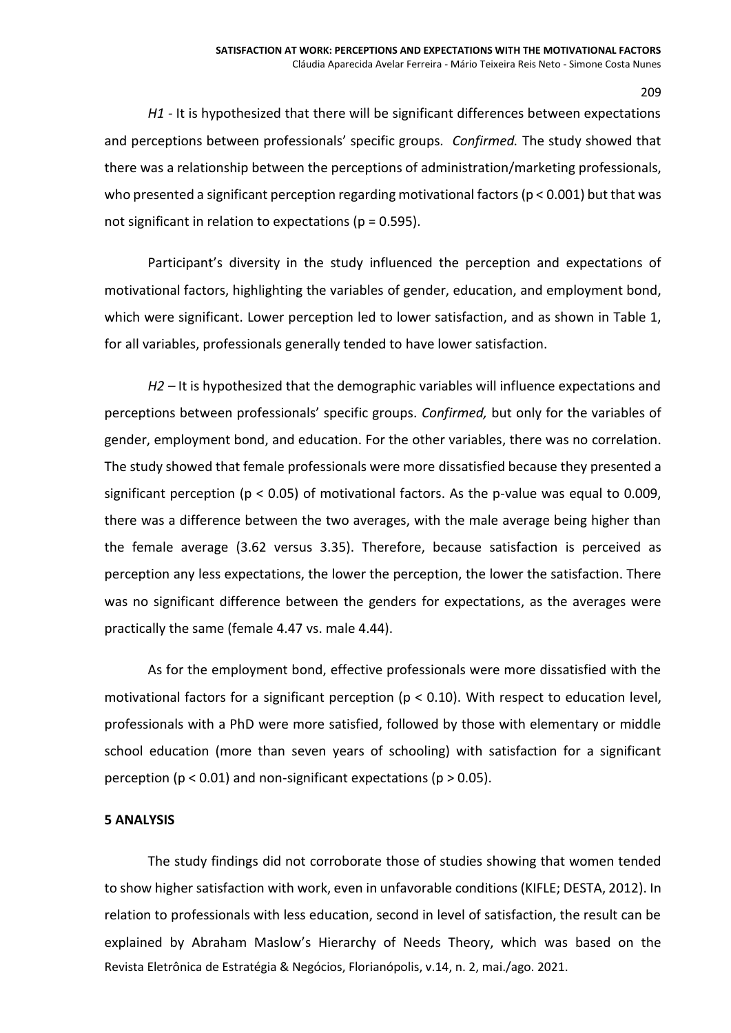*H1 -* It is hypothesized that there will be significant differences between expectations and perceptions between professionals' specific groups*. Confirmed.* The study showed that there was a relationship between the perceptions of administration/marketing professionals, who presented a significant perception regarding motivational factors (p < 0.001) but that was not significant in relation to expectations ( $p = 0.595$ ).

Participant's diversity in the study influenced the perception and expectations of motivational factors, highlighting the variables of gender, education, and employment bond, which were significant. Lower perception led to lower satisfaction, and as shown in Table 1, for all variables, professionals generally tended to have lower satisfaction.

*H2 –* It is hypothesized that the demographic variables will influence expectations and perceptions between professionals' specific groups. *Confirmed,* but only for the variables of gender, employment bond, and education. For the other variables, there was no correlation. The study showed that female professionals were more dissatisfied because they presented a significant perception (p < 0.05) of motivational factors. As the p-value was equal to 0.009, there was a difference between the two averages, with the male average being higher than the female average (3.62 versus 3.35). Therefore, because satisfaction is perceived as perception any less expectations, the lower the perception, the lower the satisfaction. There was no significant difference between the genders for expectations, as the averages were practically the same (female 4.47 vs. male 4.44).

As for the employment bond, effective professionals were more dissatisfied with the motivational factors for a significant perception ( $p < 0.10$ ). With respect to education level, professionals with a PhD were more satisfied, followed by those with elementary or middle school education (more than seven years of schooling) with satisfaction for a significant perception ( $p < 0.01$ ) and non-significant expectations ( $p > 0.05$ ).

#### **5 ANALYSIS**

Revista Eletrônica de Estratégia & Negócios, Florianópolis, v.14, n. 2, mai./ago. 2021. The study findings did not corroborate those of studies showing that women tended to show higher satisfaction with work, even in unfavorable conditions (KIFLE; DESTA, 2012). In relation to professionals with less education, second in level of satisfaction, the result can be explained by Abraham Maslow's Hierarchy of Needs Theory, which was based on the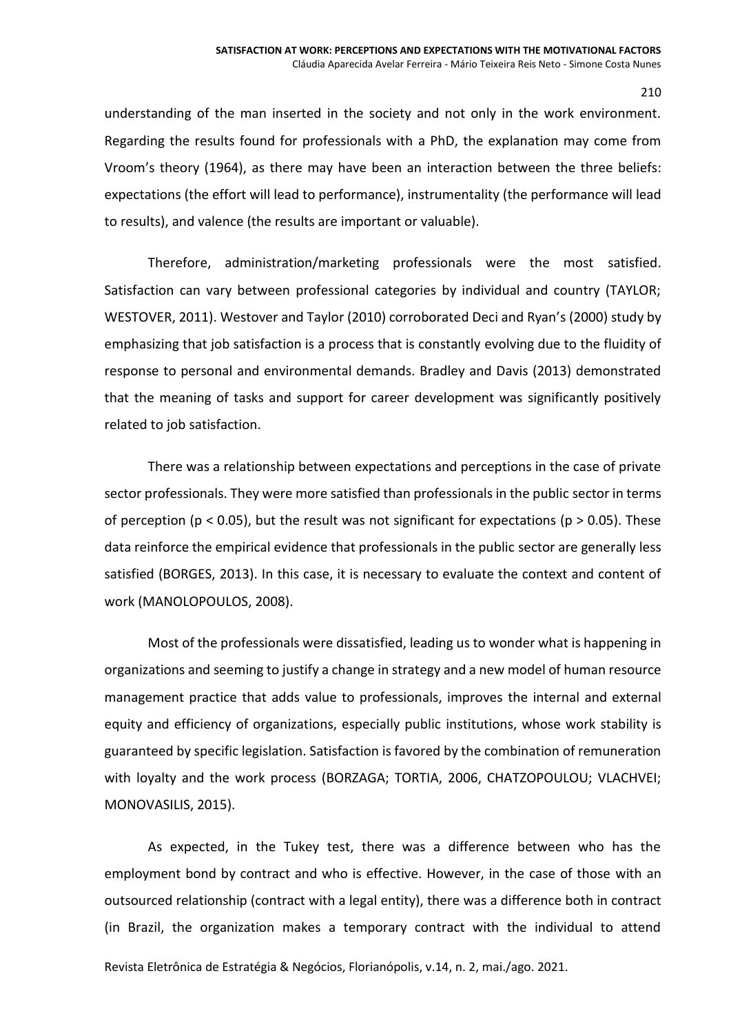understanding of the man inserted in the society and not only in the work environment. Regarding the results found for professionals with a PhD, the explanation may come from Vroom's theory (1964), as there may have been an interaction between the three beliefs: expectations (the effort will lead to performance), instrumentality (the performance will lead to results), and valence (the results are important or valuable).

Therefore, administration/marketing professionals were the most satisfied. Satisfaction can vary between professional categories by individual and country (TAYLOR; WESTOVER, 2011). Westover and Taylor (2010) corroborated Deci and Ryan's (2000) study by emphasizing that job satisfaction is a process that is constantly evolving due to the fluidity of response to personal and environmental demands. Bradley and Davis (2013) demonstrated that the meaning of tasks and support for career development was significantly positively related to job satisfaction.

There was a relationship between expectations and perceptions in the case of private sector professionals. They were more satisfied than professionals in the public sector in terms of perception ( $p < 0.05$ ), but the result was not significant for expectations ( $p > 0.05$ ). These data reinforce the empirical evidence that professionals in the public sector are generally less satisfied (BORGES, 2013). In this case, it is necessary to evaluate the context and content of work (MANOLOPOULOS, 2008).

Most of the professionals were dissatisfied, leading us to wonder what is happening in organizations and seeming to justify a change in strategy and a new model of human resource management practice that adds value to professionals, improves the internal and external equity and efficiency of organizations, especially public institutions, whose work stability is guaranteed by specific legislation. Satisfaction is favored by the combination of remuneration with loyalty and the work process (BORZAGA; TORTIA, 2006, CHATZOPOULOU; VLACHVEI; MONOVASILIS, 2015).

As expected, in the Tukey test, there was a difference between who has the employment bond by contract and who is effective. However, in the case of those with an outsourced relationship (contract with a legal entity), there was a difference both in contract (in Brazil, the organization makes a temporary contract with the individual to attend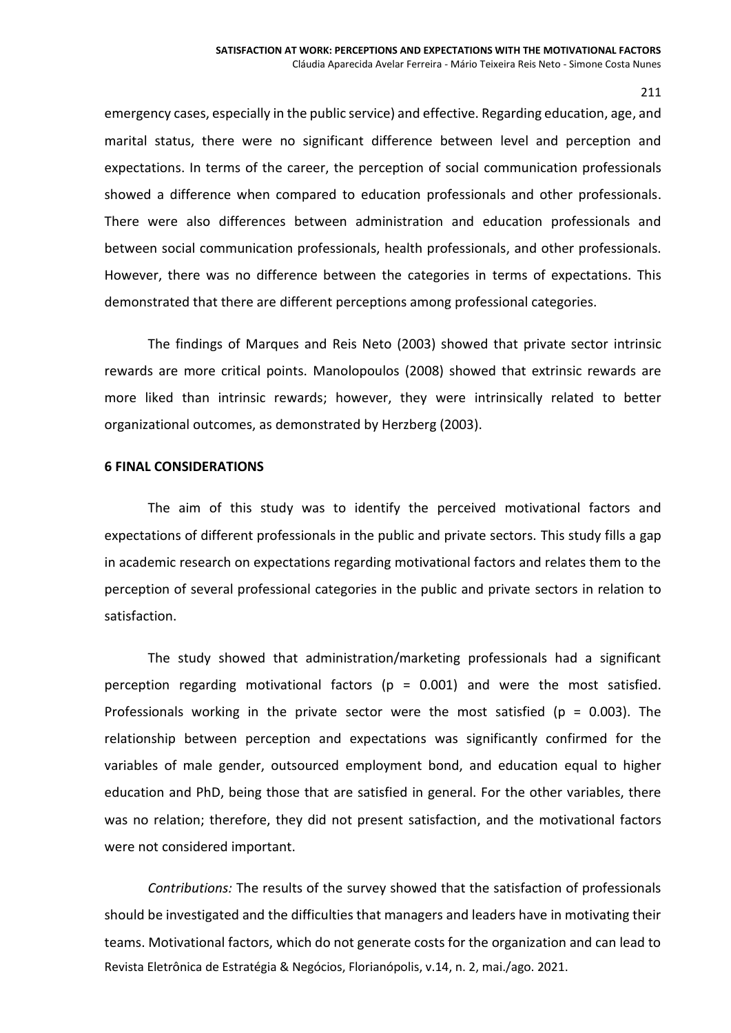emergency cases, especially in the public service) and effective. Regarding education, age, and marital status, there were no significant difference between level and perception and expectations. In terms of the career, the perception of social communication professionals showed a difference when compared to education professionals and other professionals. There were also differences between administration and education professionals and between social communication professionals, health professionals, and other professionals. However, there was no difference between the categories in terms of expectations. This demonstrated that there are different perceptions among professional categories.

The findings of Marques and Reis Neto (2003) showed that private sector intrinsic rewards are more critical points. Manolopoulos (2008) showed that extrinsic rewards are more liked than intrinsic rewards; however, they were intrinsically related to better organizational outcomes, as demonstrated by Herzberg (2003).

#### **6 FINAL CONSIDERATIONS**

The aim of this study was to identify the perceived motivational factors and expectations of different professionals in the public and private sectors. This study fills a gap in academic research on expectations regarding motivational factors and relates them to the perception of several professional categories in the public and private sectors in relation to satisfaction.

The study showed that administration/marketing professionals had a significant perception regarding motivational factors ( $p = 0.001$ ) and were the most satisfied. Professionals working in the private sector were the most satisfied ( $p = 0.003$ ). The relationship between perception and expectations was significantly confirmed for the variables of male gender, outsourced employment bond, and education equal to higher education and PhD, being those that are satisfied in general. For the other variables, there was no relation; therefore, they did not present satisfaction, and the motivational factors were not considered important.

Revista Eletrônica de Estratégia & Negócios, Florianópolis, v.14, n. 2, mai./ago. 2021. *Contributions:* The results of the survey showed that the satisfaction of professionals should be investigated and the difficulties that managers and leaders have in motivating their teams. Motivational factors, which do not generate costs for the organization and can lead to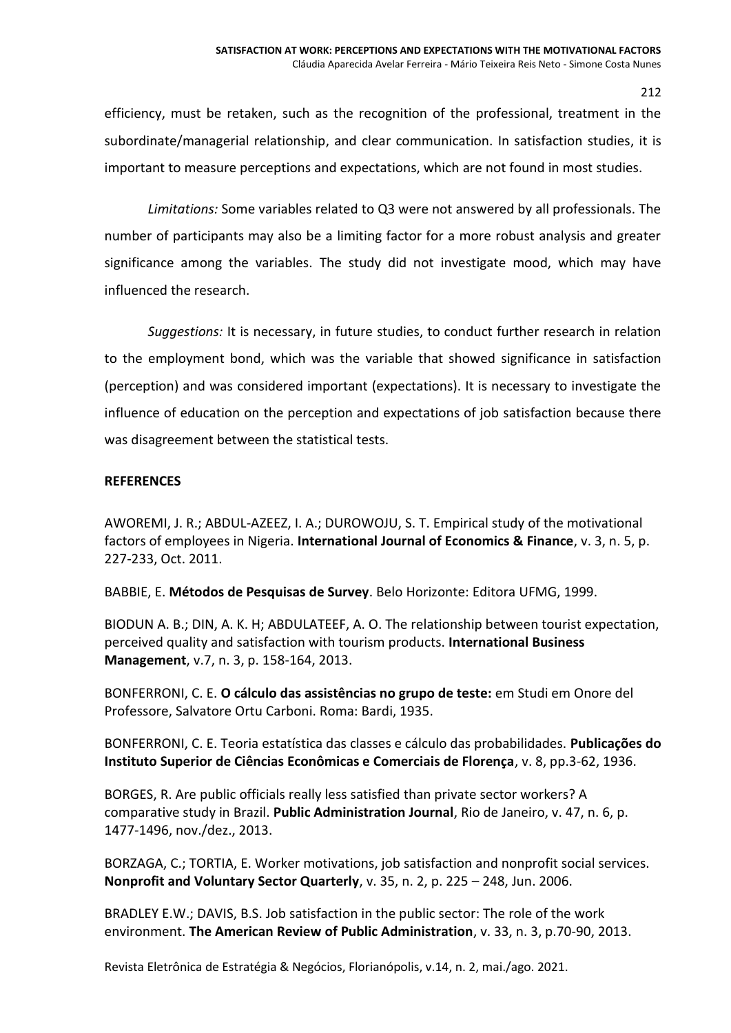efficiency, must be retaken, such as the recognition of the professional, treatment in the subordinate/managerial relationship, and clear communication. In satisfaction studies, it is important to measure perceptions and expectations, which are not found in most studies.

*Limitations:* Some variables related to Q3 were not answered by all professionals. The number of participants may also be a limiting factor for a more robust analysis and greater significance among the variables. The study did not investigate mood, which may have influenced the research.

*Suggestions:* It is necessary, in future studies, to conduct further research in relation to the employment bond, which was the variable that showed significance in satisfaction (perception) and was considered important (expectations). It is necessary to investigate the influence of education on the perception and expectations of job satisfaction because there was disagreement between the statistical tests.

## **REFERENCES**

AWOREMI, J. R.; ABDUL-AZEEZ, I. A.; DUROWOJU, S. T. Empirical study of the motivational factors of employees in Nigeria. **International Journal of Economics & Finance**, v. 3, n. 5, p. 227-233, Oct. 2011.

BABBIE, E. **Métodos de Pesquisas de Survey**. Belo Horizonte: Editora UFMG, 1999.

BIODUN A. B.; DIN, A. K. H; ABDULATEEF, A. O. The relationship between tourist expectation, perceived quality and satisfaction with tourism products. **International Business Management**, v.7, n. 3, p. 158-164, 2013.

BONFERRONI, C. E. **O cálculo das assistências no grupo de teste:** em Studi em Onore del Professore, Salvatore Ortu Carboni. Roma: Bardi, 1935.

BONFERRONI, C. E. Teoria estatística das classes e cálculo das probabilidades. **Publicações do Instituto Superior de Ciências Econômicas e Comerciais de Florença**, v. 8, pp.3-62, 1936.

BORGES, R. Are public officials really less satisfied than private sector workers? A comparative study in Brazil. **Public Administration Journal**, Rio de Janeiro, v. 47, n. 6, p. 1477-1496, nov./dez., 2013.

BORZAGA, C.; TORTIA, E. Worker motivations, job satisfaction and nonprofit social services. **Nonprofit and Voluntary Sector Quarterly**, v. 35, n. 2, p. 225 – 248, Jun. 2006.

BRADLEY E.W.; DAVIS, B.S. Job satisfaction in the public sector: The role of the work environment. **The American Review of Public Administration**, v. 33, n. 3, p.70-90, 2013.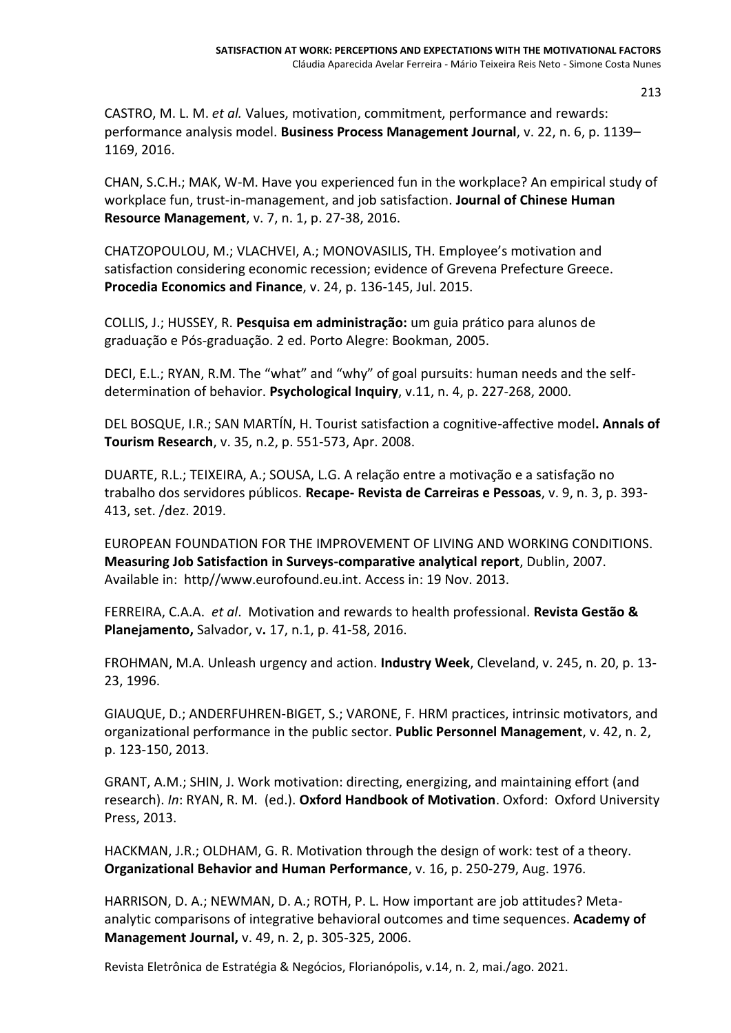CASTRO, M. L. M. *et al.* Values, motivation, commitment, performance and rewards: performance analysis model. **Business Process Management Journal**, v. 22, n. 6, p. 1139– 1169, 2016.

CHAN, S.C.H.; MAK, W-M. Have you experienced fun in the workplace? An empirical study of workplace fun, trust-in-management, and job satisfaction. **Journal of Chinese Human Resource Management**, v. 7, n. 1, p. 27-38, 2016.

CHATZOPOULOU, M.; VLACHVEI, A.; MONOVASILIS, TH. Employee's motivation and satisfaction considering economic recession; evidence of Grevena Prefecture Greece. **Procedia Economics and Finance**, v. 24, p. 136-145, Jul. 2015.

COLLIS, J.; HUSSEY, R. **Pesquisa em administração:** um guia prático para alunos de graduação e Pós-graduação. 2 ed. Porto Alegre: Bookman, 2005.

DECI, E.L.; RYAN, R.M. The "what" and "why" of goal pursuits: human needs and the selfdetermination of behavior. **Psychological Inquiry**, v.11, n. 4, p. 227-268, 2000.

DEL BOSQUE, I.R.; SAN MARTÍN, H. Tourist satisfaction a cognitive-affective model**. Annals of Tourism Research**, v. 35, n.2, p. 551-573, Apr. 2008.

DUARTE, R.L.; TEIXEIRA, A.; SOUSA, L.G. A relação entre a motivação e a satisfação no trabalho dos servidores públicos. **Recape- Revista de Carreiras e Pessoas**, v. 9, n. 3, p. 393- 413, set. /dez. 2019.

EUROPEAN FOUNDATION FOR THE IMPROVEMENT OF LIVING AND WORKING CONDITIONS. **Measuring Job Satisfaction in Surveys-comparative analytical report**, Dublin, 2007. Available in: http//www.eurofound.eu.int. Access in: 19 Nov. 2013.

FERREIRA, C.A.A. *et al*. Motivation and rewards to health professional. **Revista Gestão & Planejamento,** Salvador, v**.** 17, n.1, p. 41-58, 2016.

FROHMAN, M.A. Unleash urgency and action. **Industry Week**, Cleveland, v. 245, n. 20, p. 13- 23, 1996.

GIAUQUE, D.; ANDERFUHREN-BIGET, S.; VARONE, F. HRM practices, intrinsic motivators, and organizational performance in the public sector. **Public Personnel Management**, v. 42, n. 2, p. 123-150, 2013.

GRANT, A.M.; SHIN, J. Work motivation: directing, energizing, and maintaining effort (and research). *In*: RYAN, R. M. (ed.). **Oxford Handbook of Motivation**. Oxford: Oxford University Press, 2013.

HACKMAN, J.R.; OLDHAM, G. R. Motivation through the design of work: test of a theory. **Organizational Behavior and Human Performance**, v. 16, p. 250-279, Aug. 1976.

HARRISON, D. A.; NEWMAN, D. A.; ROTH, P. L. How important are job attitudes? Metaanalytic comparisons of integrative behavioral outcomes and time sequences. **Academy of Management Journal,** v. 49, n. 2, p. 305-325, 2006.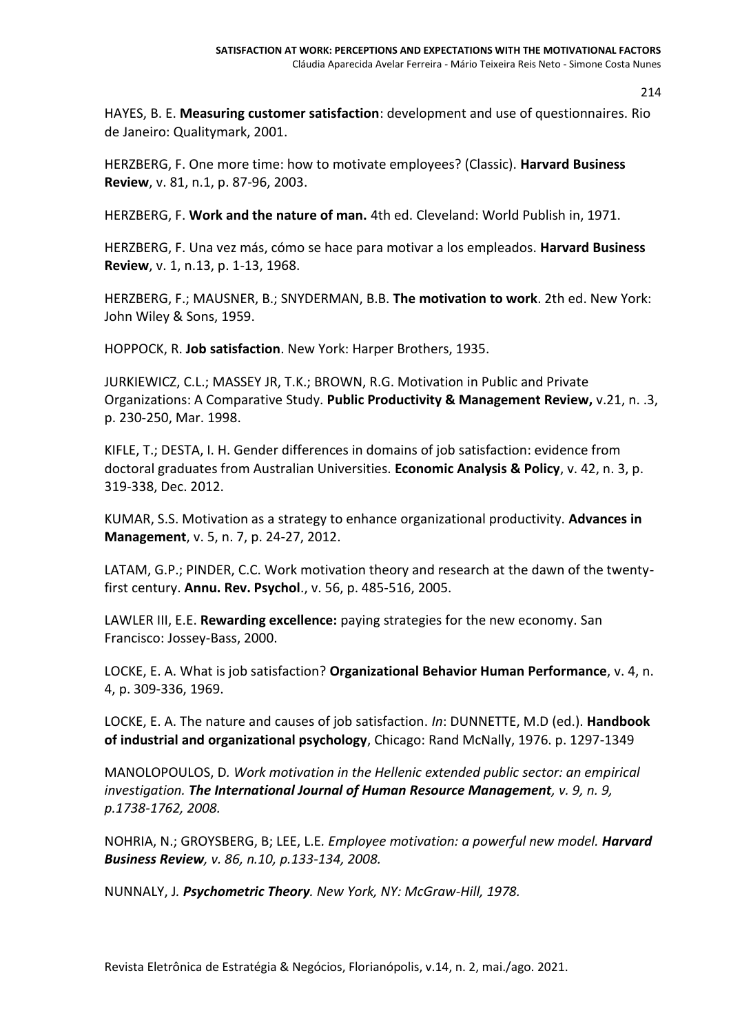HAYES, B. E. **Measuring customer satisfaction**: development and use of questionnaires. Rio de Janeiro: Qualitymark, 2001.

HERZBERG, F. One more time: how to motivate employees? (Classic). **Harvard Business Review**, v. 81, n.1, p. 87-96, 2003.

HERZBERG, F. **Work and the nature of man.** 4th ed. Cleveland: World Publish in, 1971.

HERZBERG, F. Una vez más, cómo se hace para motivar a los empleados. **Harvard Business Review**, v. 1, n.13, p. 1-13, 1968.

HERZBERG, F.; MAUSNER, B.; SNYDERMAN, B.B. **The motivation to work**. 2th ed. New York: John Wiley & Sons, 1959.

HOPPOCK, R. **Job satisfaction**. New York: Harper Brothers, 1935.

JURKIEWICZ, C.L.; MASSEY JR, T.K.; BROWN, R.G. Motivation in Public and Private Organizations: A Comparative Study. **Public Productivity & Management Review,** v.21, n. .3, p. 230-250, Mar. 1998.

KIFLE, T.; DESTA, I. H. Gender differences in domains of job satisfaction: evidence from doctoral graduates from Australian Universities. **Economic Analysis & Policy**, v. 42, n. 3, p. 319-338, Dec. 2012.

KUMAR, S.S. Motivation as a strategy to enhance organizational productivity. **Advances in Management**, v. 5, n. 7, p. 24-27, 2012.

LATAM, G.P.; PINDER, C.C. Work motivation theory and research at the dawn of the twentyfirst century. **Annu. Rev. Psychol**., v. 56, p. 485-516, 2005.

LAWLER III, E.E. **Rewarding excellence:** paying strategies for the new economy. San Francisco: Jossey-Bass, 2000.

LOCKE, E. A. What is job satisfaction? **Organizational Behavior Human Performance**, v. 4, n. 4, p. 309-336, 1969.

LOCKE, E. A. The nature and causes of job satisfaction. *In*: DUNNETTE, M.D (ed.). **Handbook of industrial and organizational psychology**, Chicago: Rand McNally, 1976. p. 1297-1349

MANOLOPOULOS, D*. Work motivation in the Hellenic extended public sector: an empirical investigation. The International Journal of Human Resource Management, v. 9, n. 9, p.1738-1762, 2008.*

NOHRIA, N.; GROYSBERG, B; LEE, L.E*. Employee motivation: a powerful new model. Harvard Business Review, v. 86, n.10, p.133-134, 2008.*

NUNNALY, J*. Psychometric Theory. New York, NY: McGraw-Hill, 1978.*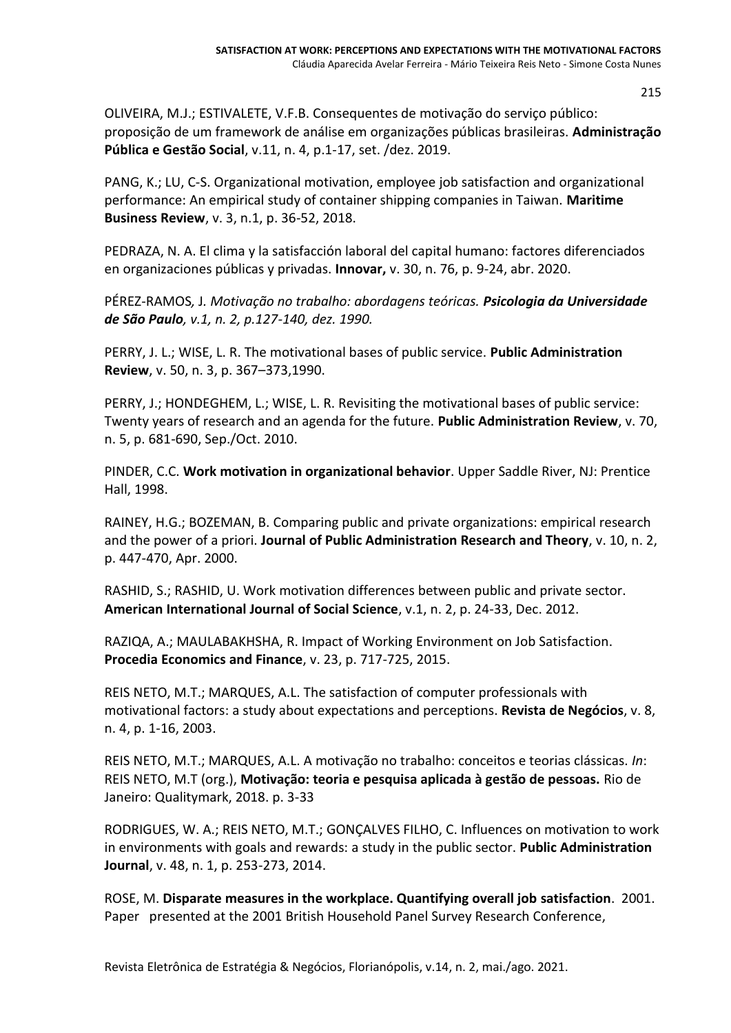OLIVEIRA, M.J.; ESTIVALETE, V.F.B. Consequentes de motivação do serviço público: proposição de um framework de análise em organizações públicas brasileiras. **Administração Pública e Gestão Social**, v.11, n. 4, p.1-17, set. /dez. 2019.

PANG, K.; LU, C-S. Organizational motivation, employee job satisfaction and organizational performance: An empirical study of container shipping companies in Taiwan. **Maritime Business Review**, v. 3, n.1, p. 36-52, 2018.

PEDRAZA, N. A. El clima y la satisfacción laboral del capital humano: factores diferenciados en organizaciones públicas y privadas. **Innovar,** v. 30, n. 76, p. 9-24, abr. 2020.

PÉREZ-RAMOS*,* J*. Motivação no trabalho: abordagens teóricas. Psicologia da Universidade de São Paulo, v.1, n. 2, p.127-140, dez. 1990.*

PERRY, J. L.; WISE, L. R. The motivational bases of public service. **Public Administration Review**, v. 50, n. 3, p. 367–373,1990.

PERRY, J.; HONDEGHEM, L.; WISE, L. R. Revisiting the motivational bases of public service: Twenty years of research and an agenda for the future. **Public Administration Review**, v. 70, n. 5, p. 681-690, Sep./Oct. 2010.

PINDER, C.C. **Work motivation in organizational behavior**. Upper Saddle River, NJ: Prentice Hall, 1998.

RAINEY, H.G.; BOZEMAN, B. Comparing public and private organizations: empirical research and the power of a priori. **Journal of Public Administration Research and Theory**, v. 10, n. 2, p. 447-470, Apr. 2000.

RASHID, S.; RASHID, U. Work motivation differences between public and private sector. **American International Journal of Social Science**, v.1, n. 2, p. 24-33, Dec. 2012.

RAZIQA, A.; MAULABAKHSHA, R. Impact of Working Environment on Job Satisfaction. **Procedia Economics and Finance**, v. 23, p. 717-725, 2015.

REIS NETO, M.T.; MARQUES, A.L. The satisfaction of computer professionals with motivational factors: a study about expectations and perceptions. **Revista de Negócios**, v. 8, n. 4, p. 1-16, 2003.

REIS NETO, M.T.; MARQUES, A.L. A motivação no trabalho: conceitos e teorias clássicas. *In*: REIS NETO, M.T (org.), **Motivação: teoria e pesquisa aplicada à gestão de pessoas.** Rio de Janeiro: Qualitymark, 2018. p. 3-33

RODRIGUES, W. A.; REIS NETO, M.T.; GONÇALVES FILHO, C. Influences on motivation to work in environments with goals and rewards: a study in the public sector. **Public Administration Journal**, v. 48, n. 1, p. 253-273, 2014.

ROSE, M. **Disparate measures in the workplace. Quantifying overall job satisfaction**. 2001. Paper presented at the 2001 British Household Panel Survey Research Conference,